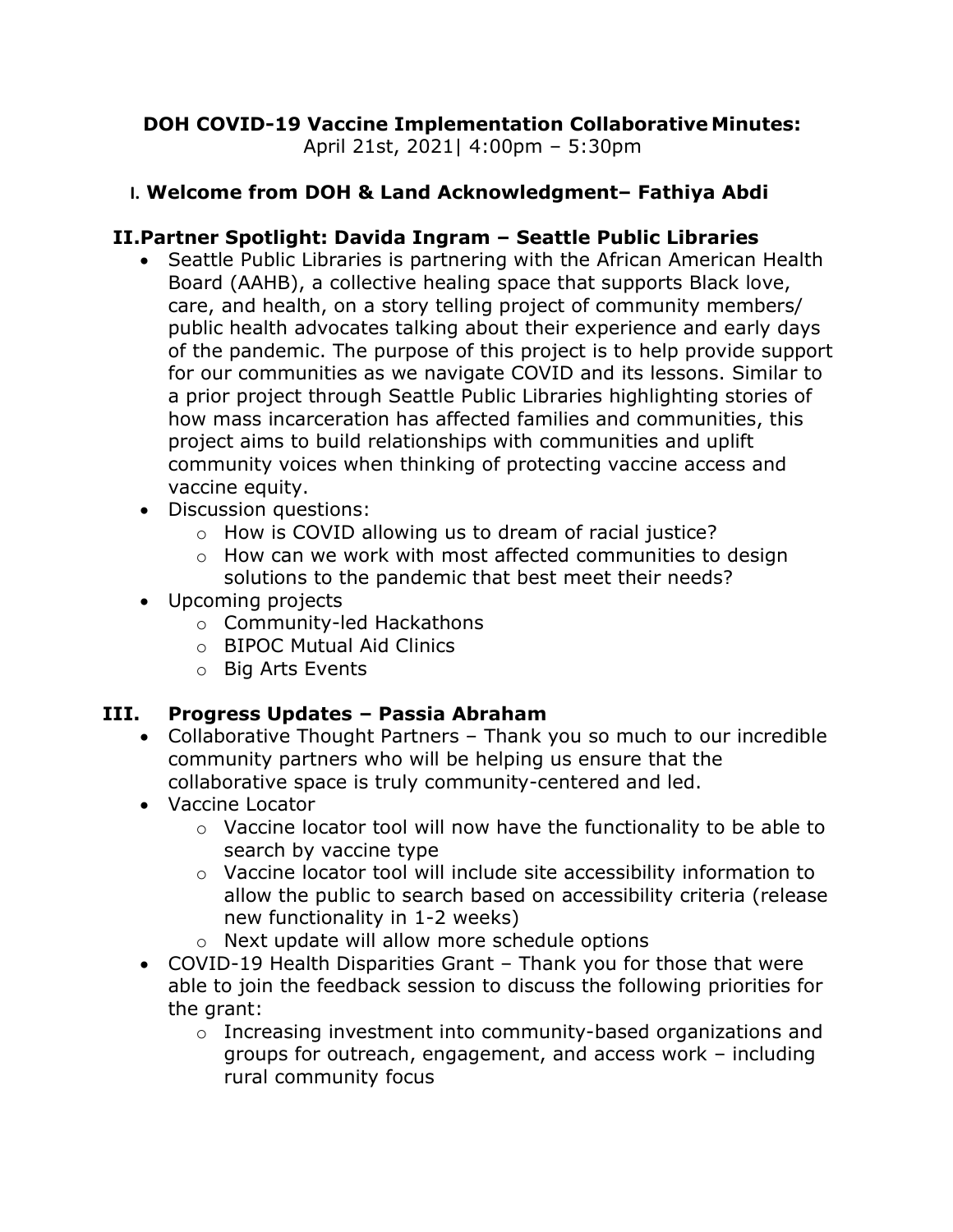# DOH COVID-19 Vaccine Implementation Collaborative Minutes:

April 21st, 2021| 4:00pm – 5:30pm

# I. Welcome from DOH & Land Acknowledgment– Fathiya Abdi

# II.Partner Spotlight: Davida Ingram – Seattle Public Libraries

- Seattle Public Libraries is partnering with the African American Health Board (AAHB), a collective healing space that supports Black love, care, and health, on a story telling project of community members/ public health advocates talking about their experience and early days of the pandemic. The purpose of this project is to help provide support for our communities as we navigate COVID and its lessons. Similar to a prior project through Seattle Public Libraries highlighting stories of how mass incarceration has affected families and communities, this project aims to build relationships with communities and uplift community voices when thinking of protecting vaccine access and vaccine equity.
- Discussion questions:
	- o How is COVID allowing us to dream of racial justice?
	- o How can we work with most affected communities to design solutions to the pandemic that best meet their needs?
- Upcoming projects
	- o Community-led Hackathons
	- o BIPOC Mutual Aid Clinics
	- o Big Arts Events

# III. Progress Updates – Passia Abraham

- Collaborative Thought Partners Thank you so much to our incredible community partners who will be helping us ensure that the collaborative space is truly community-centered and led.
- Vaccine Locator
	- o Vaccine locator tool will now have the functionality to be able to search by vaccine type
	- o Vaccine locator tool will include site accessibility information to allow the public to search based on accessibility criteria (release new functionality in 1-2 weeks)
	- o Next update will allow more schedule options
- COVID-19 Health Disparities Grant Thank you for those that were able to join the feedback session to discuss the following priorities for the grant:
	- o Increasing investment into community-based organizations and groups for outreach, engagement, and access work – including rural community focus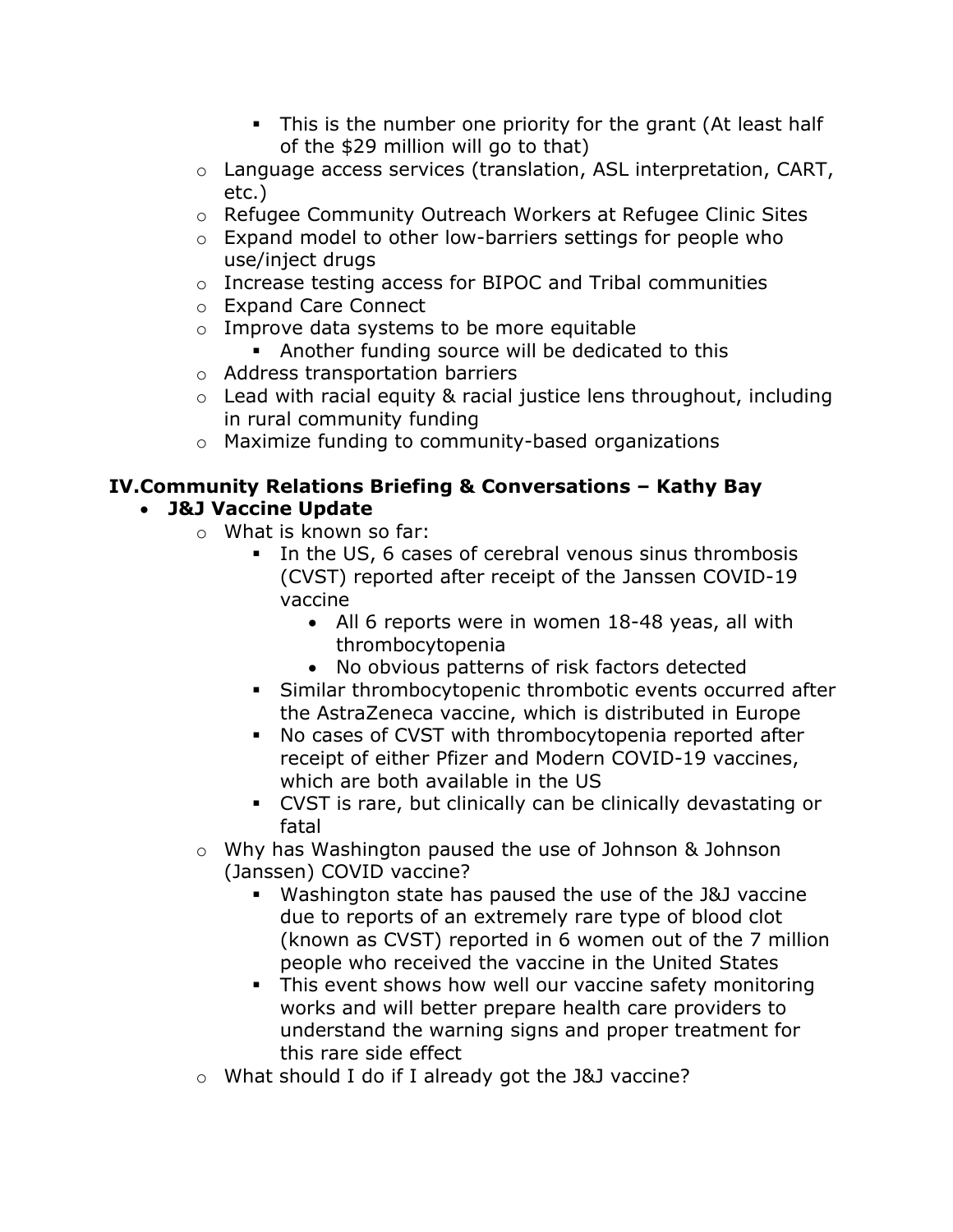- This is the number one priority for the grant (At least half of the \$29 million will go to that)
- o Language access services (translation, ASL interpretation, CART, etc.)
- o Refugee Community Outreach Workers at Refugee Clinic Sites
- o Expand model to other low-barriers settings for people who use/inject drugs
- o Increase testing access for BIPOC and Tribal communities
- o Expand Care Connect
- o Improve data systems to be more equitable
	- Another funding source will be dedicated to this
- o Address transportation barriers
- $\circ$  Lead with racial equity & racial justice lens throughout, including in rural community funding
- o Maximize funding to community-based organizations

#### IV.Community Relations Briefing & Conversations – Kathy Bay J&J Vaccine Update

- o What is known so far:
	- In the US, 6 cases of cerebral venous sinus thrombosis (CVST) reported after receipt of the Janssen COVID-19 vaccine
		- All 6 reports were in women 18-48 yeas, all with thrombocytopenia
		- No obvious patterns of risk factors detected
	- Similar thrombocytopenic thrombotic events occurred after the AstraZeneca vaccine, which is distributed in Europe
	- No cases of CVST with thrombocytopenia reported after receipt of either Pfizer and Modern COVID-19 vaccines, which are both available in the US
	- CVST is rare, but clinically can be clinically devastating or fatal
- o Why has Washington paused the use of Johnson & Johnson (Janssen) COVID vaccine?
	- Washington state has paused the use of the J&J vaccine due to reports of an extremely rare type of blood clot (known as CVST) reported in 6 women out of the 7 million people who received the vaccine in the United States
	- This event shows how well our vaccine safety monitoring works and will better prepare health care providers to understand the warning signs and proper treatment for this rare side effect
- o What should I do if I already got the J&J vaccine?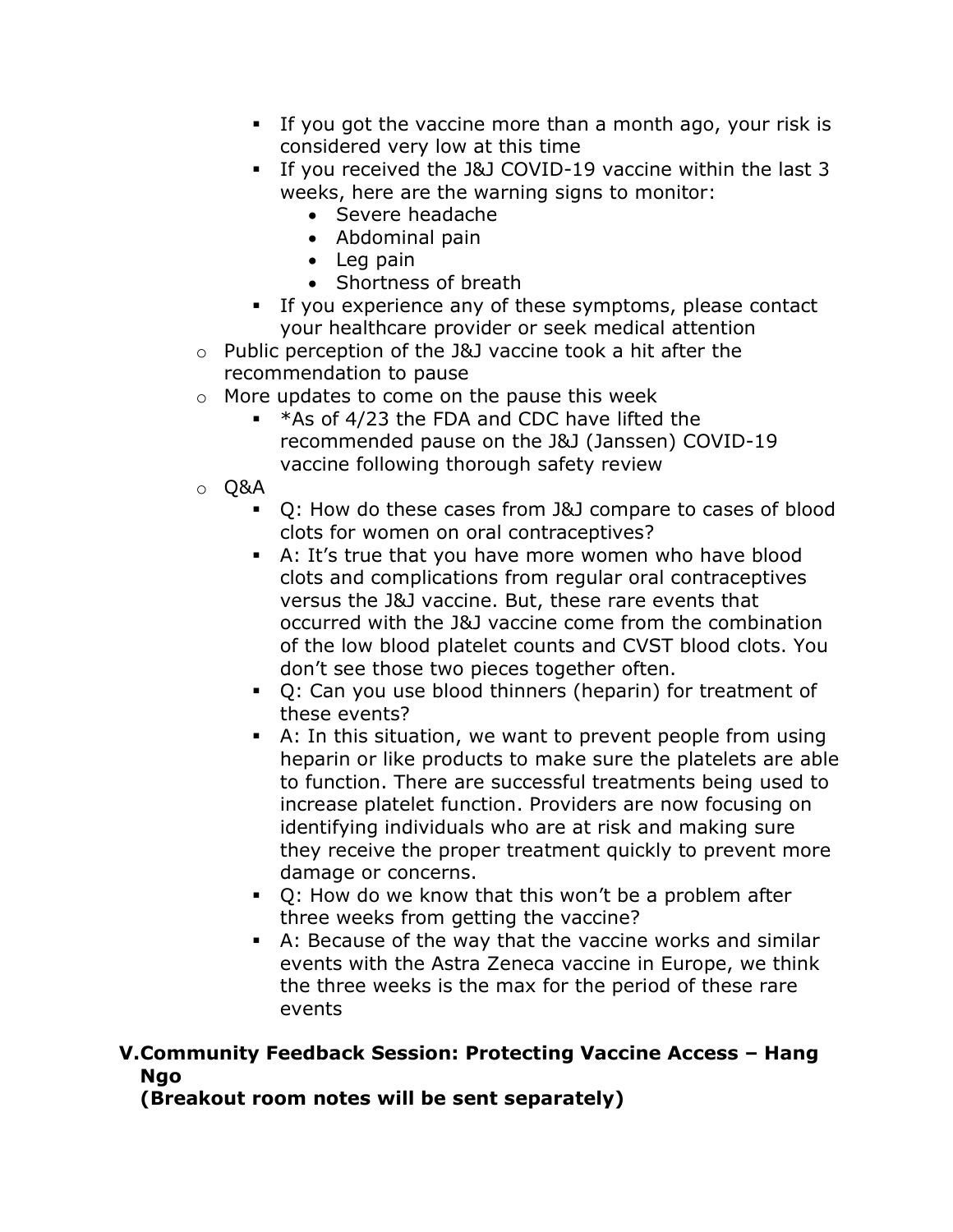- If you got the vaccine more than a month ago, your risk is considered very low at this time
- If you received the J&J COVID-19 vaccine within the last 3 weeks, here are the warning signs to monitor:
	- Severe headache
	- Abdominal pain
	- Leg pain
	- Shortness of breath
- If you experience any of these symptoms, please contact your healthcare provider or seek medical attention
- o Public perception of the J&J vaccine took a hit after the recommendation to pause
- o More updates to come on the pause this week
	- $*$ As of 4/23 the FDA and CDC have lifted the recommended pause on the J&J (Janssen) COVID-19 vaccine following thorough safety review
- o Q&A
	- Q: How do these cases from J&J compare to cases of blood clots for women on oral contraceptives?
	- A: It's true that you have more women who have blood clots and complications from regular oral contraceptives versus the J&J vaccine. But, these rare events that occurred with the J&J vaccine come from the combination of the low blood platelet counts and CVST blood clots. You don't see those two pieces together often.
	- Q: Can you use blood thinners (heparin) for treatment of these events?
	- A: In this situation, we want to prevent people from using heparin or like products to make sure the platelets are able to function. There are successful treatments being used to increase platelet function. Providers are now focusing on identifying individuals who are at risk and making sure they receive the proper treatment quickly to prevent more damage or concerns.
	- Q: How do we know that this won't be a problem after three weeks from getting the vaccine?
	- A: Because of the way that the vaccine works and similar events with the Astra Zeneca vaccine in Europe, we think the three weeks is the max for the period of these rare events

# V.Community Feedback Session: Protecting Vaccine Access – Hang Ngo

(Breakout room notes will be sent separately)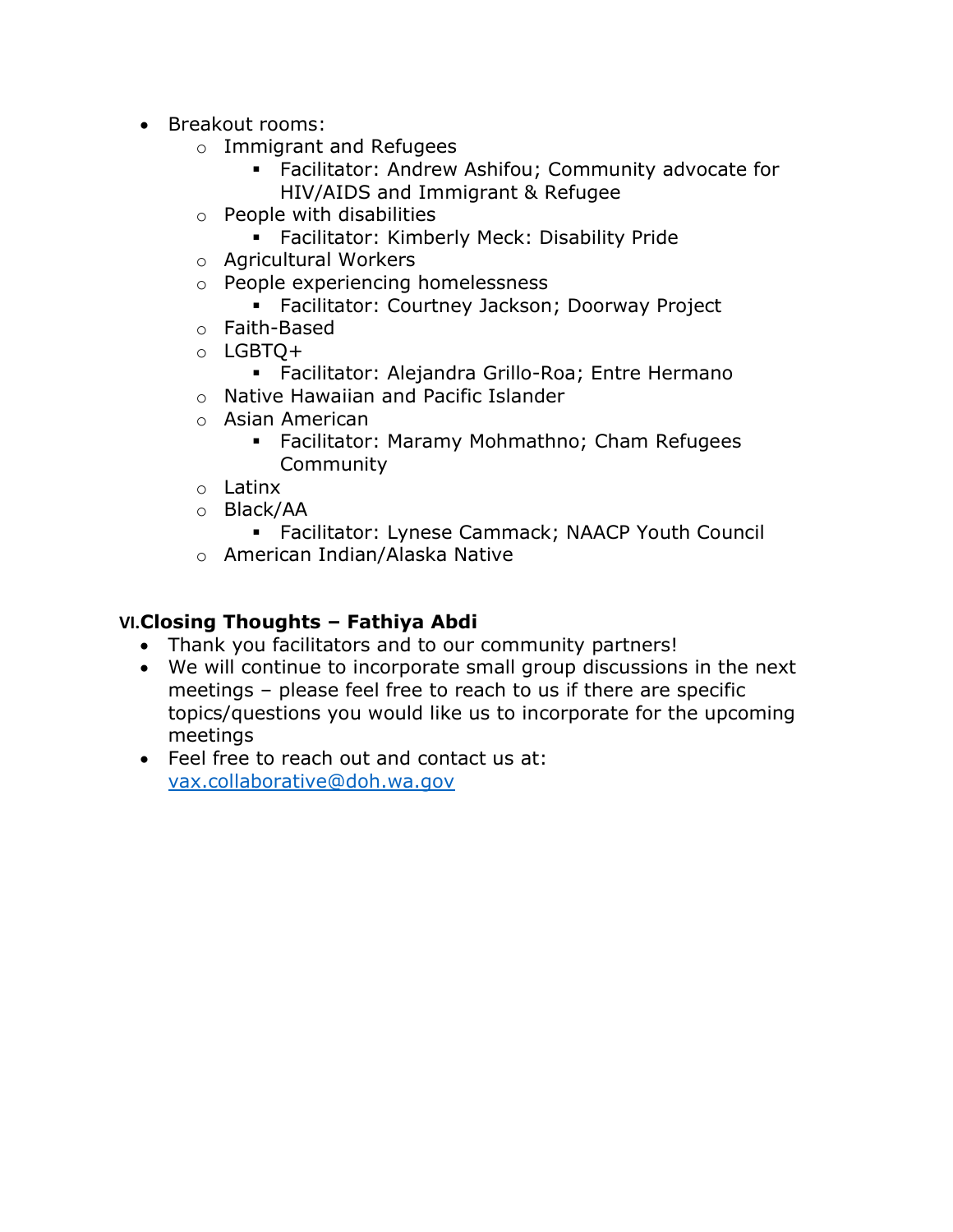- Breakout rooms:
	- o Immigrant and Refugees
		- Facilitator: Andrew Ashifou; Community advocate for HIV/AIDS and Immigrant & Refugee
	- o People with disabilities
		- **Facilitator: Kimberly Meck: Disability Pride**
	- o Agricultural Workers
	- o People experiencing homelessness
		- Facilitator: Courtney Jackson; Doorway Project
	- o Faith-Based
	- o LGBTQ+
		- Facilitator: Alejandra Grillo-Roa; Entre Hermano
	- o Native Hawaiian and Pacific Islander
	- o Asian American
		- Facilitator: Maramy Mohmathno; Cham Refugees Community
	- o Latinx
	- o Black/AA
		- Facilitator: Lynese Cammack; NAACP Youth Council
	- o American Indian/Alaska Native

# VI.Closing Thoughts – Fathiya Abdi

- Thank you facilitators and to our community partners!
- We will continue to incorporate small group discussions in the next meetings – please feel free to reach to us if there are specific topics/questions you would like us to incorporate for the upcoming meetings
- Feel free to reach out and contact us at: vax.collaborative@doh.wa.gov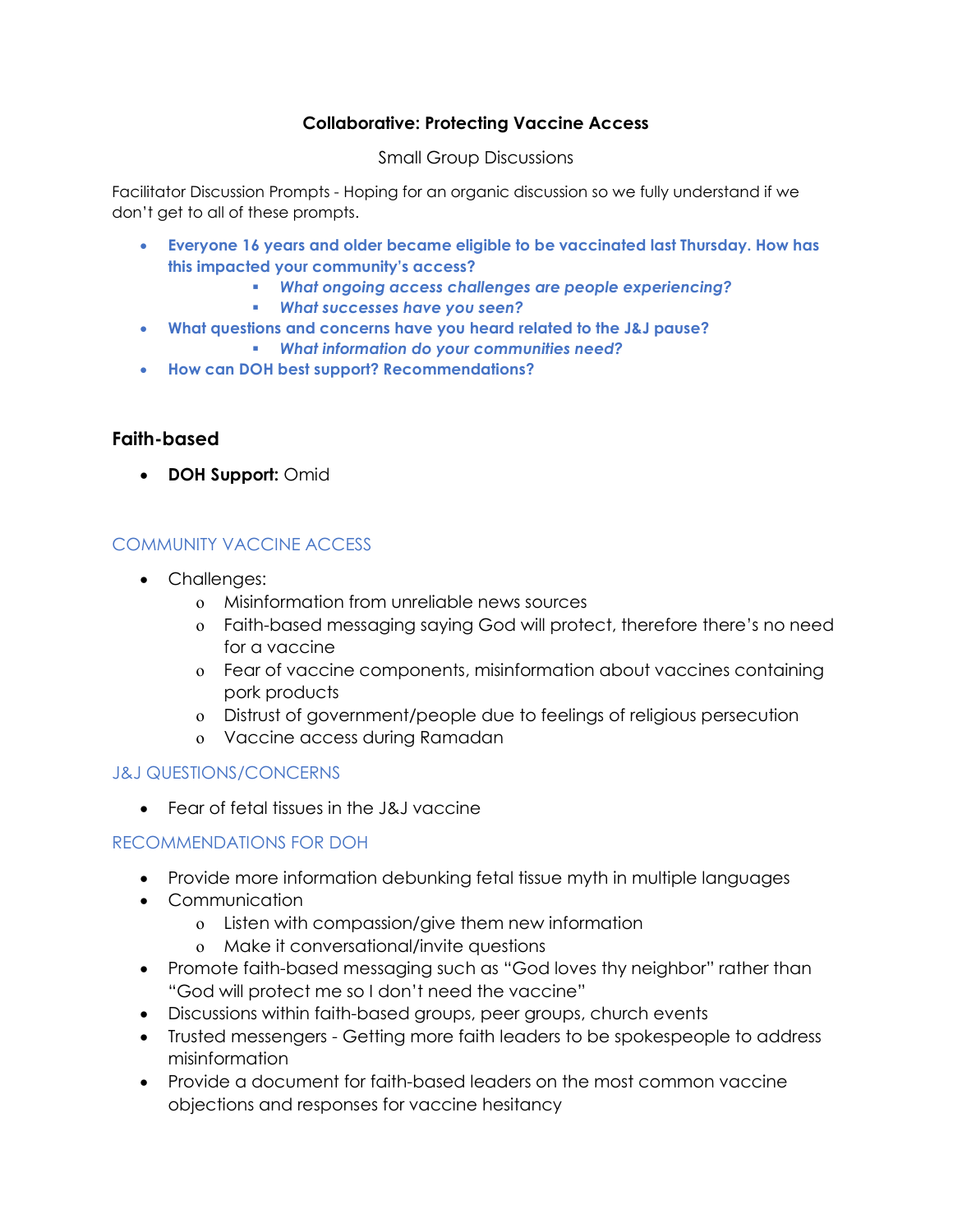#### Collaborative: Protecting Vaccine Access

#### Small Group Discussions

Facilitator Discussion Prompts - Hoping for an organic discussion so we fully understand if we don't get to all of these prompts.

- Everyone 16 years and older became eligible to be vaccinated last Thursday. How has this impacted your community's access?
	- What ongoing access challenges are people experiencing?
	- **What successes have you seen?**
- What questions and concerns have you heard related to the J&J pause?
	- What information do your communities need?
- How can DOH best support? Recommendations?

### Faith-based

• DOH Support: Omid

#### COMMUNITY VACCINE ACCESS

- Challenges:
	- o Misinformation from unreliable news sources
	- o Faith-based messaging saying God will protect, therefore there's no need for a vaccine
	- o Fear of vaccine components, misinformation about vaccines containing pork products
	- o Distrust of government/people due to feelings of religious persecution
	- o Vaccine access during Ramadan

#### J&J QUESTIONS/CONCERNS

Fear of fetal tissues in the J&J vaccine

- Provide more information debunking fetal tissue myth in multiple languages
- Communication
	- o Listen with compassion/give them new information
	- o Make it conversational/invite questions
- Promote faith-based messaging such as "God loves thy neighbor" rather than "God will protect me so I don't need the vaccine"
- Discussions within faith-based groups, peer groups, church events
- Trusted messengers Getting more faith leaders to be spokespeople to address misinformation
- Provide a document for faith-based leaders on the most common vaccine objections and responses for vaccine hesitancy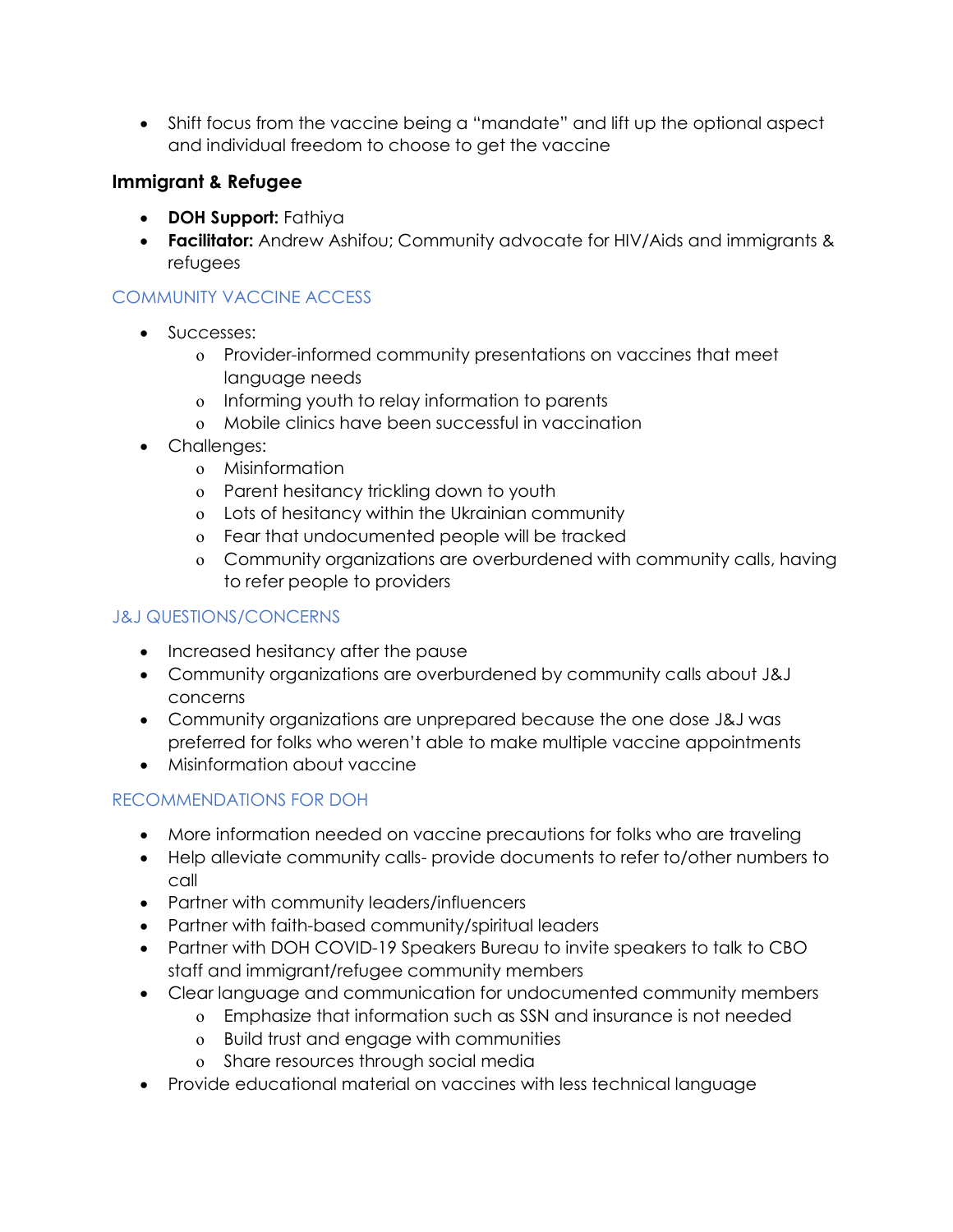Shift focus from the vaccine being a "mandate" and lift up the optional aspect and individual freedom to choose to get the vaccine

### Immigrant & Refugee

- DOH Support: Fathiya
- Facilitator: Andrew Ashifou; Community advocate for HIV/Aids and immigrants & refugees

# COMMUNITY VACCINE ACCESS

- Successes:
	- o Provider-informed community presentations on vaccines that meet language needs
	- o Informing youth to relay information to parents
	- o Mobile clinics have been successful in vaccination
- Challenges:
	- o Misinformation
	- o Parent hesitancy trickling down to youth
	- o Lots of hesitancy within the Ukrainian community
	- o Fear that undocumented people will be tracked
	- o Community organizations are overburdened with community calls, having to refer people to providers

### J&J QUESTIONS/CONCERNS

- Increased hesitancy after the pause
- Community organizations are overburdened by community calls about J&J concerns
- Community organizations are unprepared because the one dose J&J was preferred for folks who weren't able to make multiple vaccine appointments
- Misinformation about vaccine

- More information needed on vaccine precautions for folks who are traveling
- Help alleviate community calls- provide documents to refer to/other numbers to call
- Partner with community leaders/influencers
- Partner with faith-based community/spiritual leaders
- Partner with DOH COVID-19 Speakers Bureau to invite speakers to talk to CBO staff and immigrant/refugee community members
- Clear language and communication for undocumented community members
	- o Emphasize that information such as SSN and insurance is not needed
	- o Build trust and engage with communities
	- o Share resources through social media
- Provide educational material on vaccines with less technical language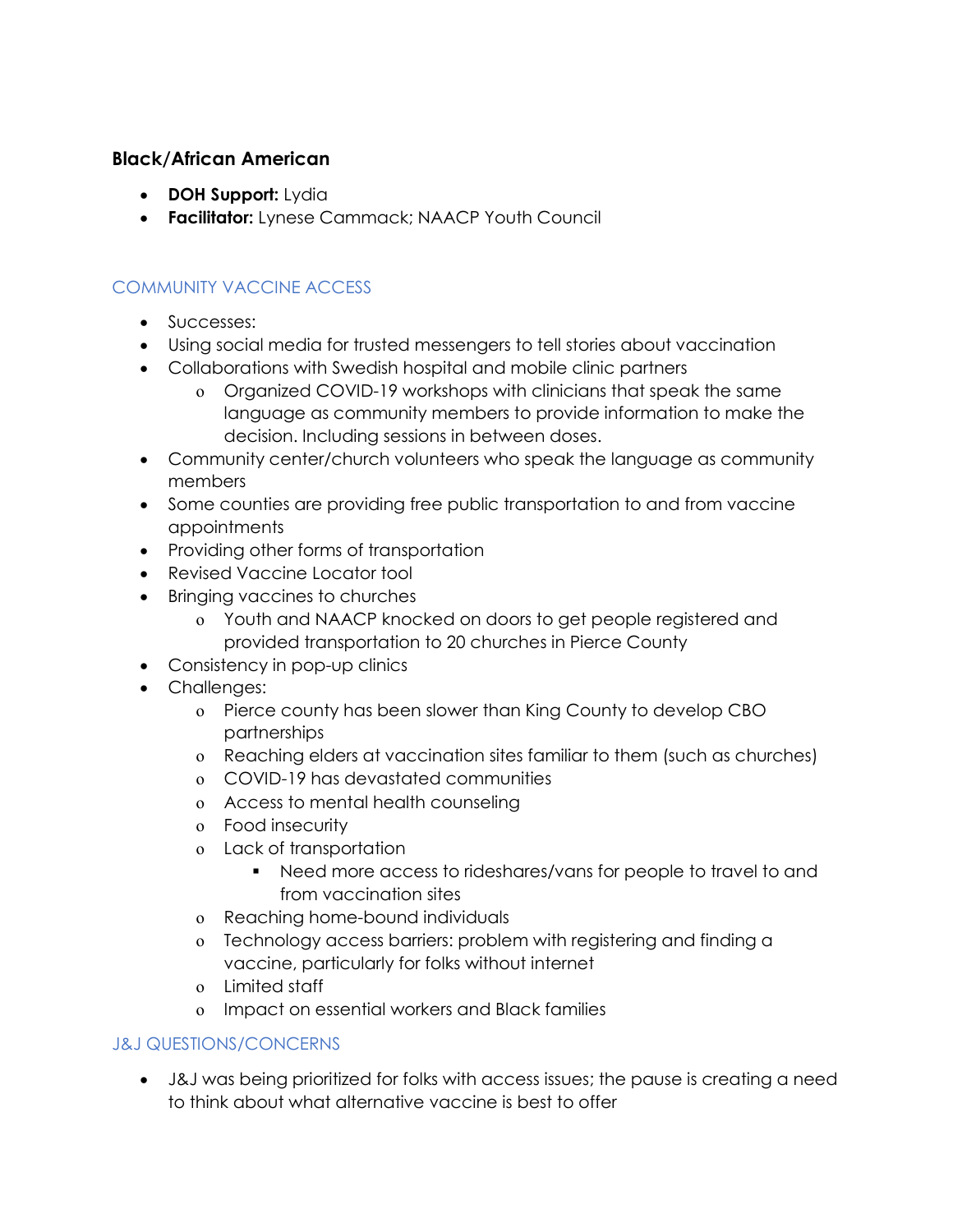#### Black/African American

- DOH Support: Lydia
- **Facilitator:** Lynese Cammack; NAACP Youth Council

### COMMUNITY VACCINE ACCESS

- Successes:
- Using social media for trusted messengers to tell stories about vaccination
- Collaborations with Swedish hospital and mobile clinic partners
	- o Organized COVID-19 workshops with clinicians that speak the same language as community members to provide information to make the decision. Including sessions in between doses.
- Community center/church volunteers who speak the language as community members
- Some counties are providing free public transportation to and from vaccine appointments
- Providing other forms of transportation
- Revised Vaccine Locator tool
- Bringing vaccines to churches
	- o Youth and NAACP knocked on doors to get people registered and provided transportation to 20 churches in Pierce County
- Consistency in pop-up clinics
- Challenges:
	- o Pierce county has been slower than King County to develop CBO partnerships
	- o Reaching elders at vaccination sites familiar to them (such as churches)
	- o COVID-19 has devastated communities
	- o Access to mental health counseling
	- o Food insecurity
	- o Lack of transportation
		- Need more access to rideshares/vans for people to travel to and from vaccination sites
	- o Reaching home-bound individuals
	- o Technology access barriers: problem with registering and finding a vaccine, particularly for folks without internet
	- o Limited staff
	- o Impact on essential workers and Black families

#### J&J QUESTIONS/CONCERNS

 J&J was being prioritized for folks with access issues; the pause is creating a need to think about what alternative vaccine is best to offer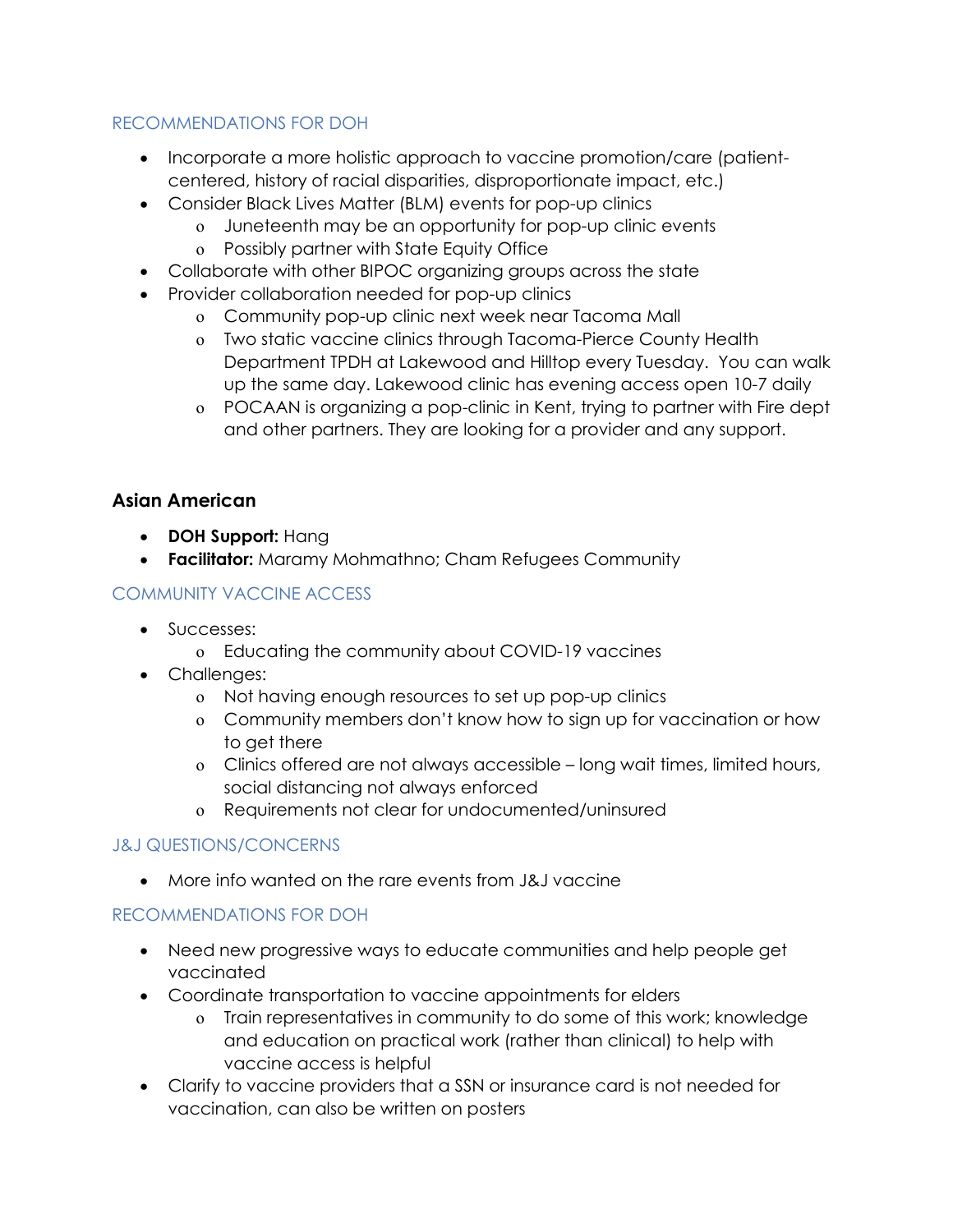#### RECOMMENDATIONS FOR DOH

- Incorporate a more holistic approach to vaccine promotion/care (patientcentered, history of racial disparities, disproportionate impact, etc.)
- Consider Black Lives Matter (BLM) events for pop-up clinics
	- o Juneteenth may be an opportunity for pop-up clinic events
	- o Possibly partner with State Equity Office
- Collaborate with other BIPOC organizing groups across the state
- Provider collaboration needed for pop-up clinics
	- o Community pop-up clinic next week near Tacoma Mall
	- o Two static vaccine clinics through Tacoma-Pierce County Health Department TPDH at Lakewood and Hilltop every Tuesday. You can walk up the same day. Lakewood clinic has evening access open 10-7 daily
	- o POCAAN is organizing a pop-clinic in Kent, trying to partner with Fire dept and other partners. They are looking for a provider and any support.

# Asian American

- DOH Support: Hang
- **Facilitator:** Maramy Mohmathno; Cham Refugees Community

### COMMUNITY VACCINE ACCESS

- Successes:
	- o Educating the community about COVID-19 vaccines
- Challenges:
	- o Not having enough resources to set up pop-up clinics
	- o Community members don't know how to sign up for vaccination or how to get there
	- o Clinics offered are not always accessible long wait times, limited hours, social distancing not always enforced
	- o Requirements not clear for undocumented/uninsured

### J&J QUESTIONS/CONCERNS

More info wanted on the rare events from J&J vaccine

- Need new progressive ways to educate communities and help people get vaccinated
- Coordinate transportation to vaccine appointments for elders
	- o Train representatives in community to do some of this work; knowledge and education on practical work (rather than clinical) to help with vaccine access is helpful
- Clarify to vaccine providers that a SSN or insurance card is not needed for vaccination, can also be written on posters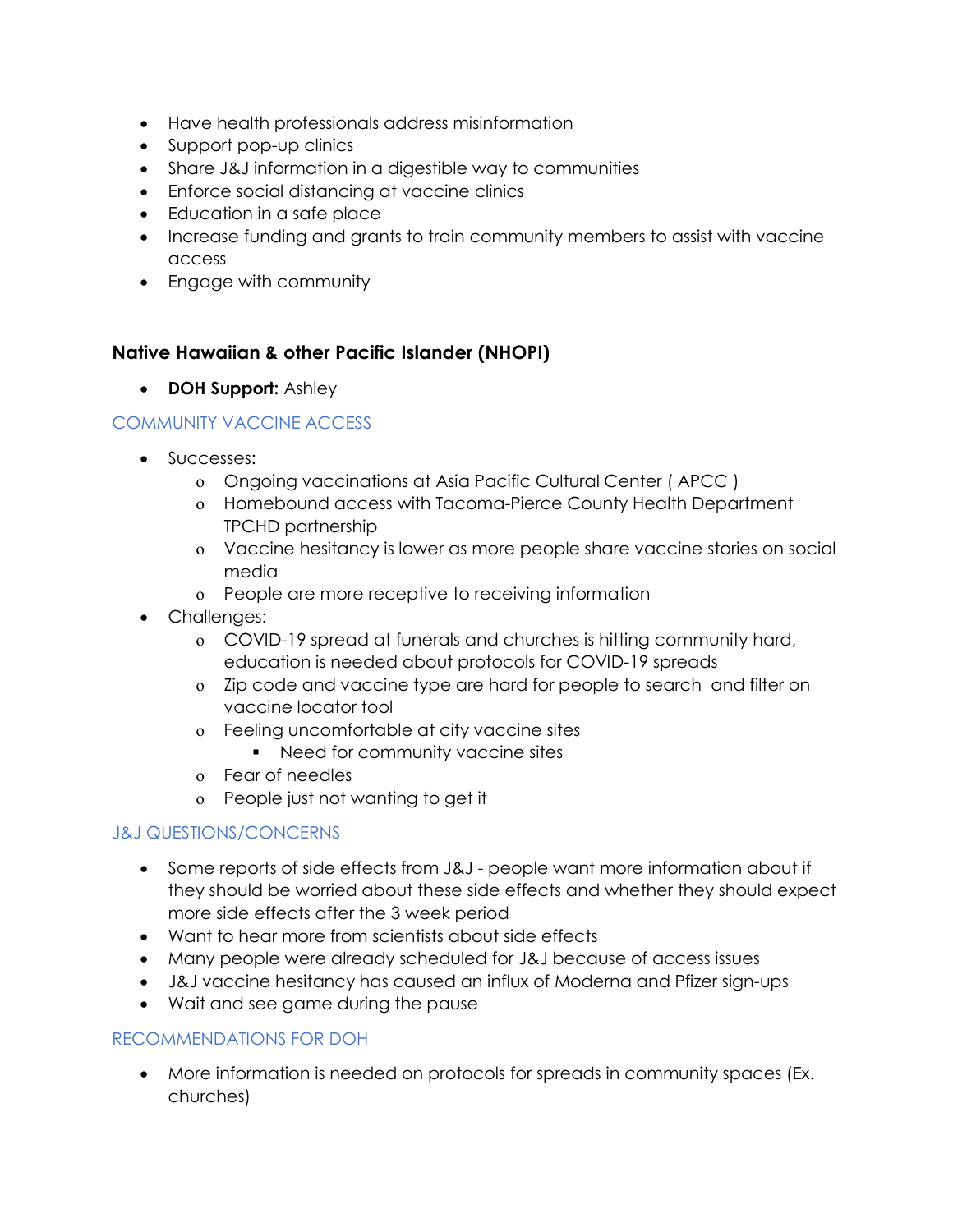- Have health professionals address misinformation
- Support pop-up clinics
- Share J&J information in a digestible way to communities
- Enforce social distancing at vaccine clinics
- Education in a safe place
- Increase funding and grants to train community members to assist with vaccine access
- Engage with community

# Native Hawaiian & other Pacific Islander (NHOPI)

• DOH Support: Ashley

### COMMUNITY VACCINE ACCESS

- Successes:
	- o Ongoing vaccinations at Asia Pacific Cultural Center ( APCC )
	- o Homebound access with Tacoma-Pierce County Health Department TPCHD partnership
	- o Vaccine hesitancy is lower as more people share vaccine stories on social media
	- o People are more receptive to receiving information
- Challenges:
	- o COVID-19 spread at funerals and churches is hitting community hard, education is needed about protocols for COVID-19 spreads
	- o Zip code and vaccine type are hard for people to search and filter on vaccine locator tool
	- o Feeling uncomfortable at city vaccine sites
		- Need for community vaccine sites
	- o Fear of needles
	- o People just not wanting to get it

### J&J QUESTIONS/CONCERNS

- Some reports of side effects from J&J people want more information about if they should be worried about these side effects and whether they should expect more side effects after the 3 week period
- Want to hear more from scientists about side effects
- Many people were already scheduled for J&J because of access issues
- J&J vaccine hesitancy has caused an influx of Moderna and Pfizer sign-ups
- Wait and see game during the pause

### RECOMMENDATIONS FOR DOH

 More information is needed on protocols for spreads in community spaces (Ex. churches)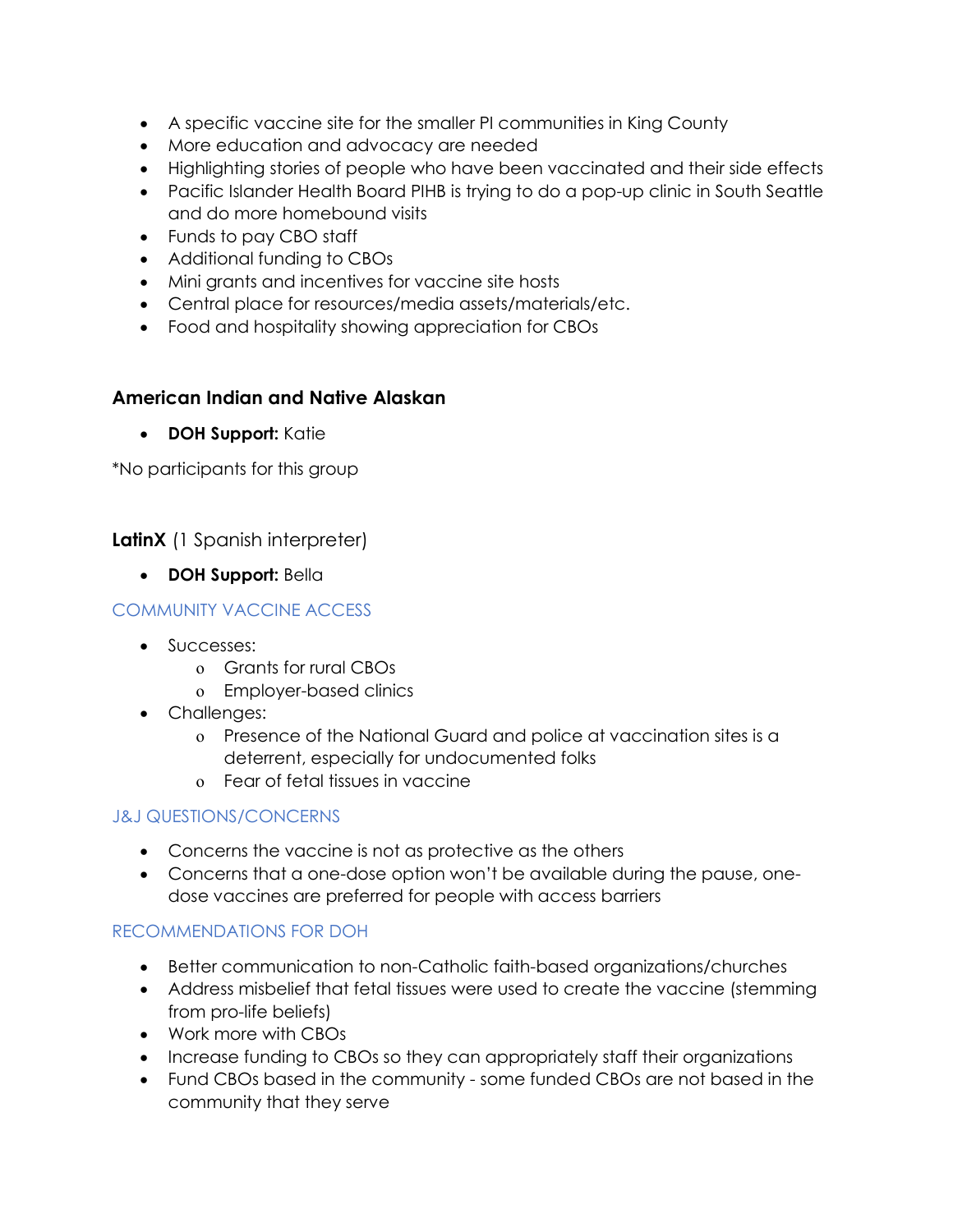- A specific vaccine site for the smaller PI communities in King County
- More education and advocacy are needed
- Highlighting stories of people who have been vaccinated and their side effects
- Pacific Islander Health Board PIHB is trying to do a pop-up clinic in South Seattle and do more homebound visits
- Funds to pay CBO staff
- Additional funding to CBOs
- Mini grants and incentives for vaccine site hosts
- Central place for resources/media assets/materials/etc.
- Food and hospitality showing appreciation for CBOs

#### American Indian and Native Alaskan

• DOH Support: Katie

\*No participants for this group

### LatinX (1 Spanish interpreter)

• DOH Support: Bella

#### COMMUNITY VACCINE ACCESS

- Successes:
	- o Grants for rural CBOs
	- o Employer-based clinics
- Challenges:
	- o Presence of the National Guard and police at vaccination sites is a deterrent, especially for undocumented folks
	- o Fear of fetal tissues in vaccine

#### J&J QUESTIONS/CONCERNS

- Concerns the vaccine is not as protective as the others
- Concerns that a one-dose option won't be available during the pause, onedose vaccines are preferred for people with access barriers

- Better communication to non-Catholic faith-based organizations/churches
- Address misbelief that fetal tissues were used to create the vaccine (stemming from pro-life beliefs)
- Work more with CBOs
- Increase funding to CBOs so they can appropriately staff their organizations
- Fund CBOs based in the community some funded CBOs are not based in the community that they serve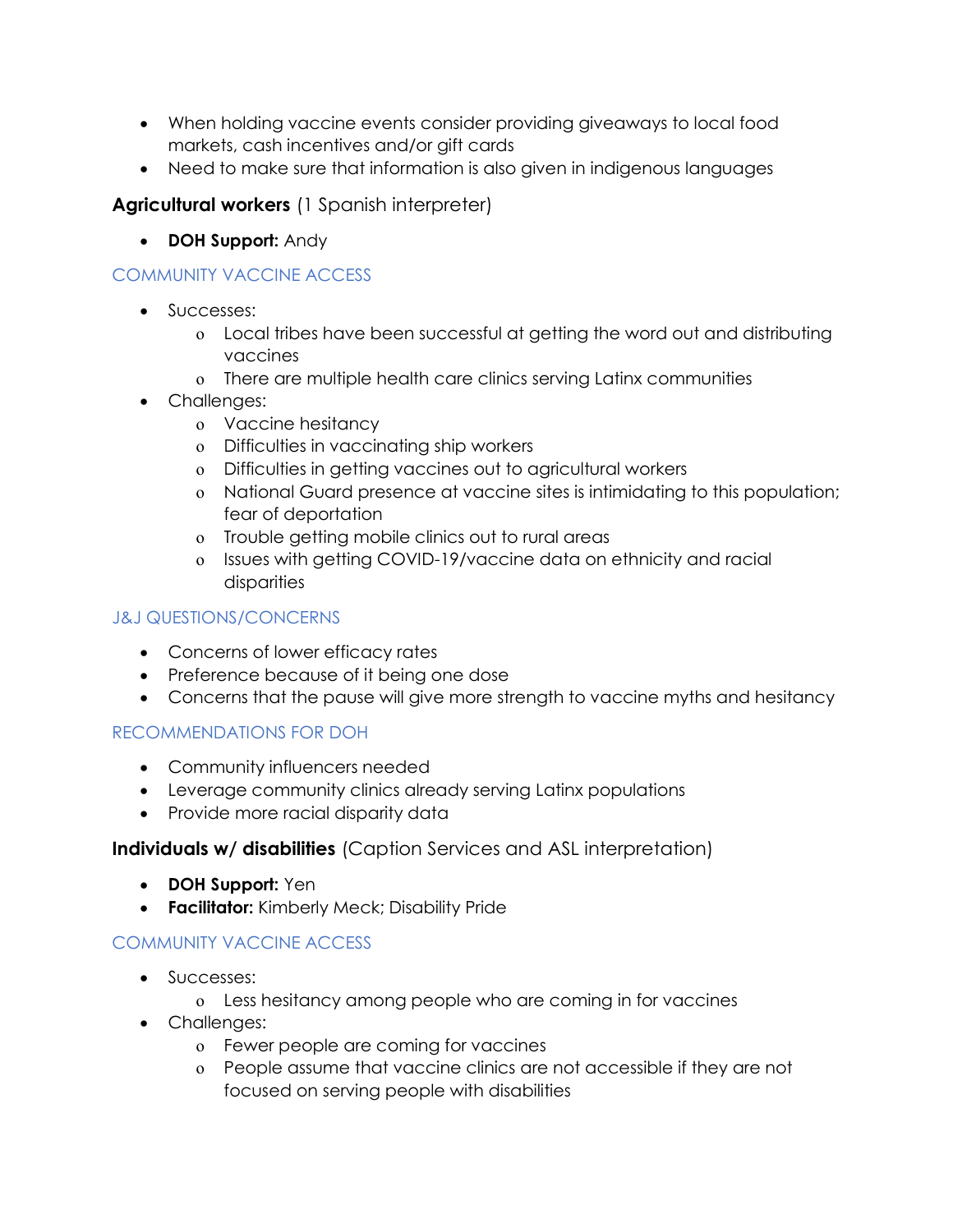- When holding vaccine events consider providing giveaways to local food markets, cash incentives and/or gift cards
- Need to make sure that information is also given in indigenous languages

# Agricultural workers (1 Spanish interpreter)

• DOH Support: Andy

# COMMUNITY VACCINE ACCESS

- Successes:
	- o Local tribes have been successful at getting the word out and distributing vaccines
	- o There are multiple health care clinics serving Latinx communities
- Challenges:
	- o Vaccine hesitancy
	- o Difficulties in vaccinating ship workers
	- o Difficulties in getting vaccines out to agricultural workers
	- o National Guard presence at vaccine sites is intimidating to this population; fear of deportation
	- o Trouble getting mobile clinics out to rural areas
	- o Issues with getting COVID-19/vaccine data on ethnicity and racial disparities

### J&J QUESTIONS/CONCERNS

- Concerns of lower efficacy rates
- Preference because of it being one dose
- Concerns that the pause will give more strength to vaccine myths and hesitancy

### RECOMMENDATIONS FOR DOH

- Community influencers needed
- Leverage community clinics already serving Latinx populations
- Provide more racial disparity data

### Individuals w/ disabilities (Caption Services and ASL interpretation)

- **DOH Support:** Yen
- **Facilitator:** Kimberly Meck; Disability Pride

### COMMUNITY VACCINE ACCESS

- Successes:
	- o Less hesitancy among people who are coming in for vaccines
- Challenges:
	- o Fewer people are coming for vaccines
	- o People assume that vaccine clinics are not accessible if they are not focused on serving people with disabilities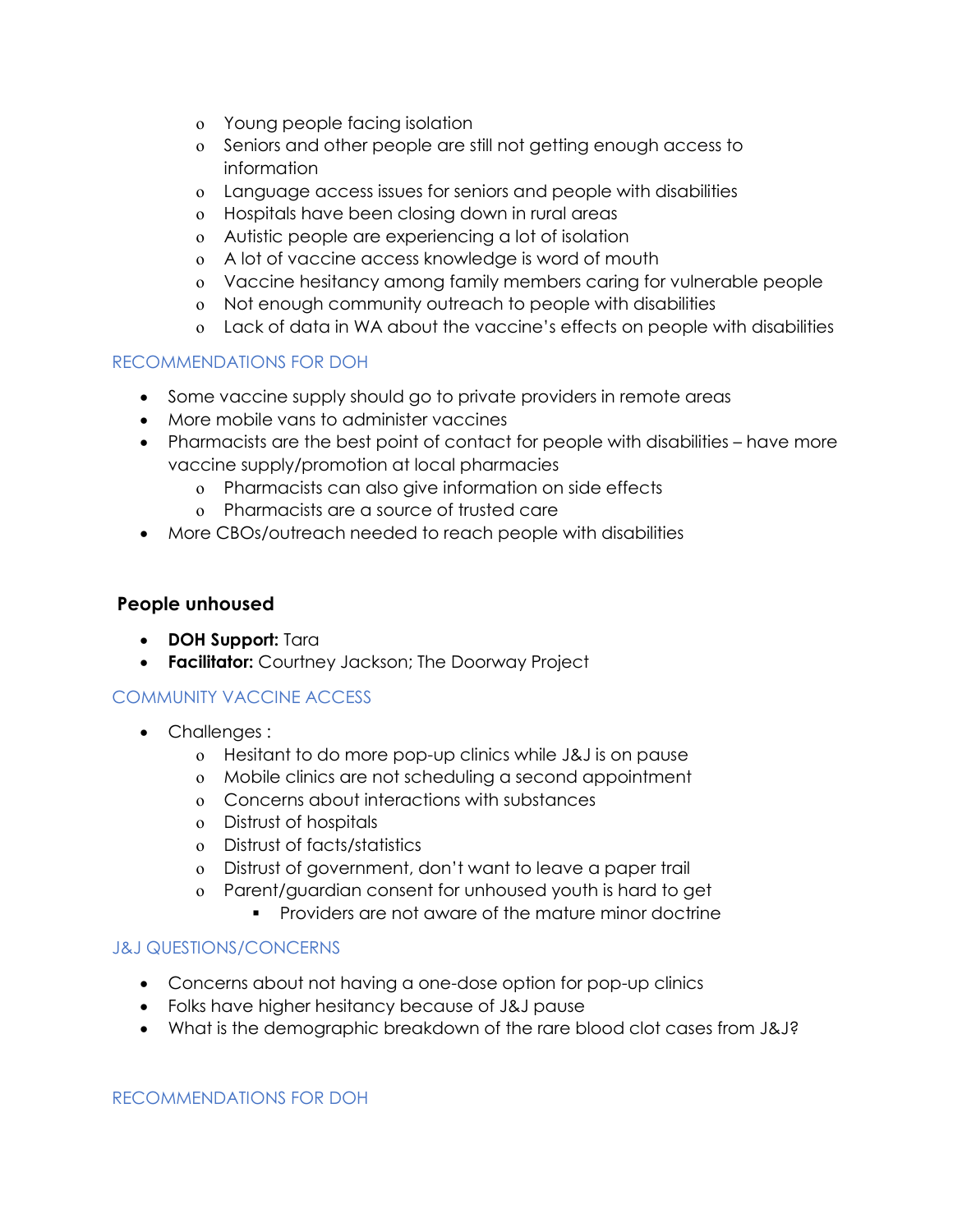- o Young people facing isolation
- o Seniors and other people are still not getting enough access to information
- o Language access issues for seniors and people with disabilities
- o Hospitals have been closing down in rural areas
- o Autistic people are experiencing a lot of isolation
- o A lot of vaccine access knowledge is word of mouth
- o Vaccine hesitancy among family members caring for vulnerable people
- o Not enough community outreach to people with disabilities
- o Lack of data in WA about the vaccine's effects on people with disabilities

#### RECOMMENDATIONS FOR DOH

- Some vaccine supply should go to private providers in remote areas
- More mobile vans to administer vaccines
- Pharmacists are the best point of contact for people with disabilities have more vaccine supply/promotion at local pharmacies
	- o Pharmacists can also give information on side effects
	- o Pharmacists are a source of trusted care
- More CBOs/outreach needed to reach people with disabilities

#### People unhoused

- DOH Support: Tara
- Facilitator: Courtney Jackson; The Doorway Project

### COMMUNITY VACCINE ACCESS

- Challenges :
	- o Hesitant to do more pop-up clinics while J&J is on pause
	- o Mobile clinics are not scheduling a second appointment
	- o Concerns about interactions with substances
	- o Distrust of hospitals
	- o Distrust of facts/statistics
	- o Distrust of government, don't want to leave a paper trail
	- o Parent/guardian consent for unhoused youth is hard to get
		- Providers are not aware of the mature minor doctrine

#### J&J QUESTIONS/CONCERNS

- Concerns about not having a one-dose option for pop-up clinics
- Folks have higher hesitancy because of J&J pause
- What is the demographic breakdown of the rare blood clot cases from J&J?